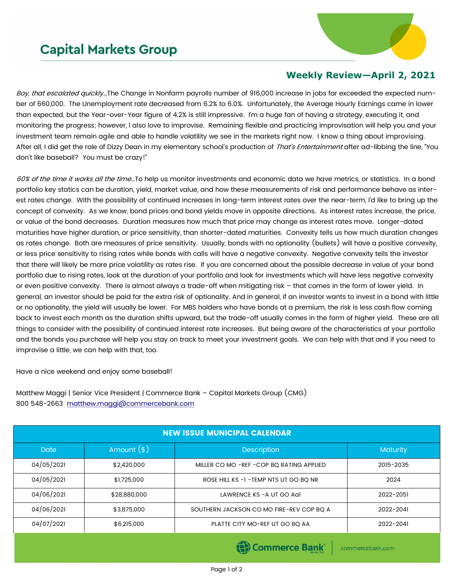## **Capital Markets Group**



## **Weekly Review—April 2, 2021**

Boy, that escalated quickly...The Change in Nonfarm payrolls number of 916,000 increase in jobs far exceeded the expected number of 660,000. The Unemployment rate decreased from 6.2% to 6.0%. Unfortunately, the Average Hourly Earnings came in lower than expected, but the Year-over-Year figure of 4.2% is still impressive. I'm a huge fan of having a strategy, executing it, and monitoring the progress; however, I also love to improvise. Remaining flexible and practicing improvisation will help you and your investment team remain agile and able to handle volatility we see in the markets right now. I know a thing about improvising. After all, I did get the role of Dizzy Dean in my elementary school's production of That's Entertainment after ad-libbing the line, "You don't like baseball? You must be crazy!"

60% of the time it works all the time...To help us monitor investments and economic data we have metrics, or statistics. In a bond portfolio key statics can be duration, yield, market value, and how these measurements of risk and performance behave as interest rates change. With the possibility of continued increases in long-term interest rates over the near-term, I'd like to bring up the concept of convexity. As we know, bond prices and bond yields move in opposite directions. As interest rates increase, the price, or value of the bond decreases. Duration measures how much that price may change as interest rates move. Longer-dated maturities have higher duration, or price sensitivity, than shorter-dated maturities. Convexity tells us how much duration changes as rates change. Both are measures of price sensitivity. Usually, bonds with no optionality (bullets) will have a positive convexity, or less price sensitivity to rising rates while bonds with calls will have a negative convexity. Negative convexity tells the investor that there will likely be more price volatility as rates rise. If you are concerned about the possible decrease in value of your bond portfolio due to rising rates, look at the duration of your portfolio and look for investments which will have less negative convexity or even positive convexity. There is almost always a trade-off when mitigating risk – that comes in the form of lower yield. In general, an investor should be paid for the extra risk of optionality. And in general, if an investor wants to invest in a bond with little or no optionality, the yield will usually be lower. For MBS holders who have bonds at a premium, the risk is less cash flow coming back to invest each month as the duration shifts upward, but the trade-off usually comes in the form of higher yield. These are all things to consider with the possibility of continued interest rate increases. But being aware of the characteristics of your portfolio and the bonds you purchase will help you stay on track to meet your investment goals. We can help with that and if you need to improvise a little, we can help with that, too.

Have a nice weekend and enjoy some baseball!

Matthew Maggi | Senior Vice President | Commerce Bank – Capital Markets Group (CMG) 800 548-2663 [matthew.maggi@commercebank.com](mailto:matthew.maggi@commercebank.com)

| <b>NEW ISSUE MUNICIPAL CALENDAR</b> |              |                                            |                 |  |  |  |
|-------------------------------------|--------------|--------------------------------------------|-----------------|--|--|--|
| <b>Date</b>                         | Amount $(*)$ | <b>Description</b>                         | <b>Maturity</b> |  |  |  |
| 04/05/2021                          | \$2,420,000  | MILLER CO MO - REF - COP BO RATING APPLIED | 2015-2035       |  |  |  |
| 04/05/2021                          | \$1,725,000  | ROSE HILL KS -1 - TEMP NTS UT GO BO NR     | 2024            |  |  |  |
| 04/06/2021                          | \$28,880,000 | LAWRENCE KS - A UT GO AGI                  | 2022-2051       |  |  |  |
| 04/06/2021                          | \$3,875,000  | SOUTHERN JACKSON CO MO FIRE-REV COP BO A   | 2022-2041       |  |  |  |
| 04/07/2021                          | \$6,215,000  | PLATTE CITY MO-REF UT GO BQ AA             | 2022-2041       |  |  |  |
|                                     |              |                                            |                 |  |  |  |

**(B)** Commerce Bank

commercebank.com